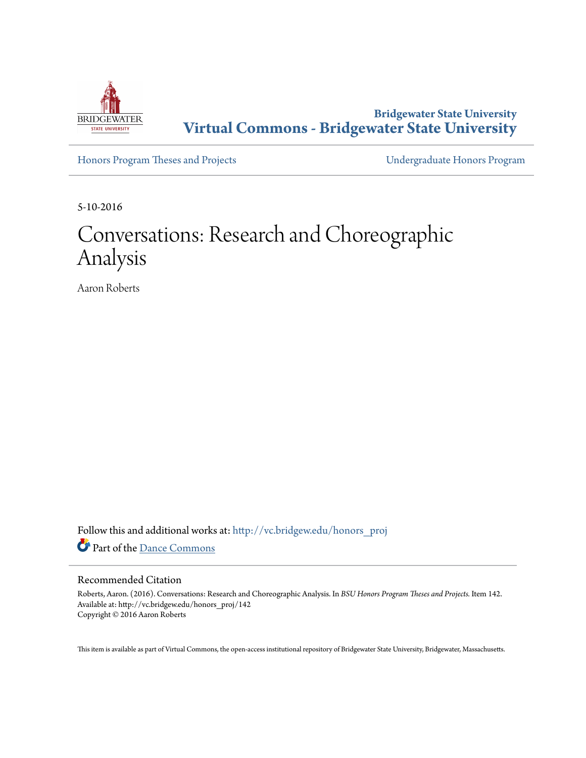

**Bridgewater State University [Virtual Commons - Bridgewater State University](http://vc.bridgew.edu?utm_source=vc.bridgew.edu%2Fhonors_proj%2F142&utm_medium=PDF&utm_campaign=PDFCoverPages)**

[Honors Program Theses and Projects](http://vc.bridgew.edu/honors_proj?utm_source=vc.bridgew.edu%2Fhonors_proj%2F142&utm_medium=PDF&utm_campaign=PDFCoverPages) [Undergraduate Honors Program](http://vc.bridgew.edu/honors?utm_source=vc.bridgew.edu%2Fhonors_proj%2F142&utm_medium=PDF&utm_campaign=PDFCoverPages)

5-10-2016

## Conversations: Research and Choreographic Analysis

Aaron Roberts

Follow this and additional works at: [http://vc.bridgew.edu/honors\\_proj](http://vc.bridgew.edu/honors_proj?utm_source=vc.bridgew.edu%2Fhonors_proj%2F142&utm_medium=PDF&utm_campaign=PDFCoverPages) Part of the [Dance Commons](http://network.bepress.com/hgg/discipline/554?utm_source=vc.bridgew.edu%2Fhonors_proj%2F142&utm_medium=PDF&utm_campaign=PDFCoverPages)

#### Recommended Citation

Roberts, Aaron. (2016). Conversations: Research and Choreographic Analysis. In *BSU Honors Program Theses and Projects.* Item 142. Available at: http://vc.bridgew.edu/honors\_proj/142 Copyright © 2016 Aaron Roberts

This item is available as part of Virtual Commons, the open-access institutional repository of Bridgewater State University, Bridgewater, Massachusetts.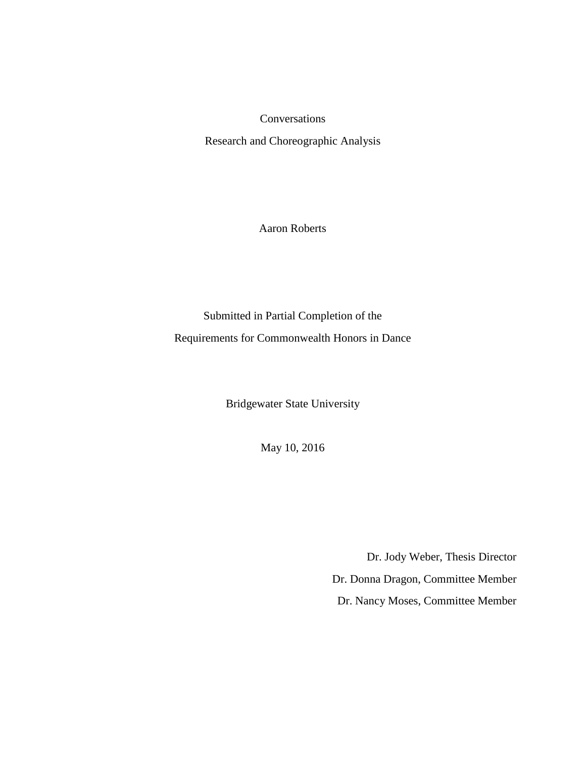Conversations

Research and Choreographic Analysis

Aaron Roberts

Submitted in Partial Completion of the Requirements for Commonwealth Honors in Dance

Bridgewater State University

May 10, 2016

Dr. Jody Weber, Thesis Director Dr. Donna Dragon, Committee Member Dr. Nancy Moses, Committee Member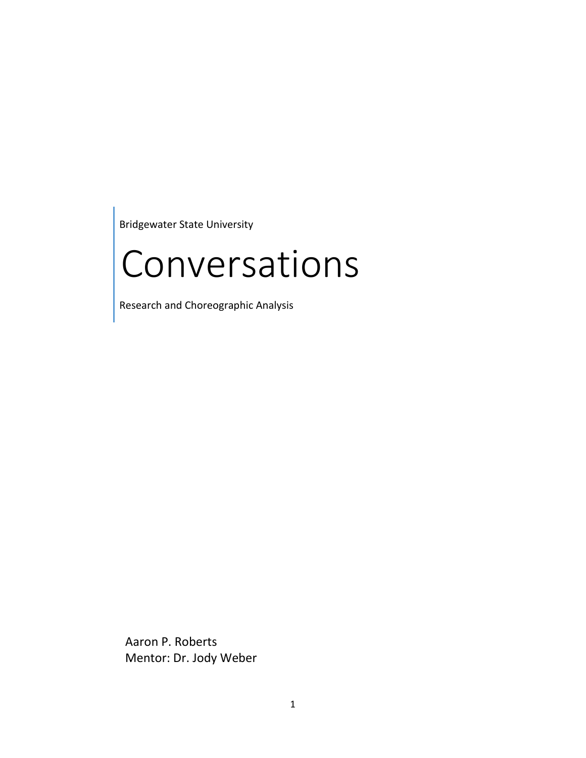Bridgewater State University

# Conversations

Research and Choreographic Analysis

Aaron P. Roberts Mentor: Dr. Jody Weber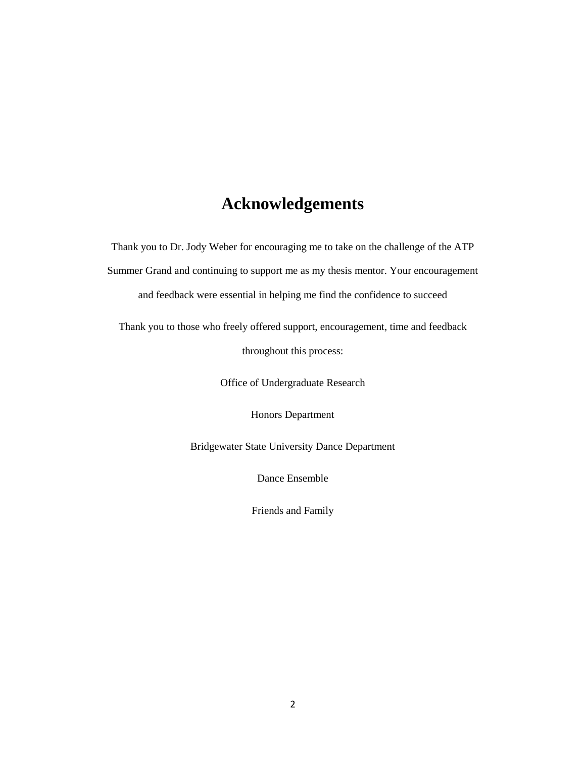### **Acknowledgements**

Thank you to Dr. Jody Weber for encouraging me to take on the challenge of the ATP Summer Grand and continuing to support me as my thesis mentor. Your encouragement and feedback were essential in helping me find the confidence to succeed

Thank you to those who freely offered support, encouragement, time and feedback

throughout this process:

Office of Undergraduate Research

Honors Department

Bridgewater State University Dance Department

Dance Ensemble

Friends and Family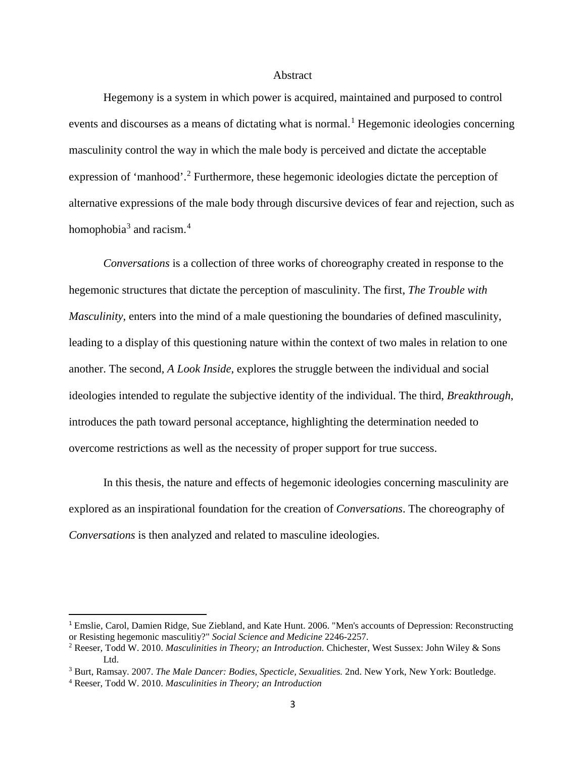#### Abstract

Hegemony is a system in which power is acquired, maintained and purposed to control events and discourses as a means of dictating what is normal.<sup>[1](#page-4-0)</sup> Hegemonic ideologies concerning masculinity control the way in which the male body is perceived and dictate the acceptable expression of 'manhood'.<sup>[2](#page-4-1)</sup> Furthermore, these hegemonic ideologies dictate the perception of alternative expressions of the male body through discursive devices of fear and rejection, such as homophobia $3$  and racism.<sup>[4](#page-4-3)</sup>

*Conversations* is a collection of three works of choreography created in response to the hegemonic structures that dictate the perception of masculinity. The first, *The Trouble with Masculinity*, enters into the mind of a male questioning the boundaries of defined masculinity, leading to a display of this questioning nature within the context of two males in relation to one another. The second, *A Look Inside*, explores the struggle between the individual and social ideologies intended to regulate the subjective identity of the individual. The third, *Breakthrough*, introduces the path toward personal acceptance, highlighting the determination needed to overcome restrictions as well as the necessity of proper support for true success.

In this thesis, the nature and effects of hegemonic ideologies concerning masculinity are explored as an inspirational foundation for the creation of *Conversations*. The choreography of *Conversations* is then analyzed and related to masculine ideologies.

<span id="page-4-0"></span> <sup>1</sup> Emslie, Carol, Damien Ridge, Sue Ziebland, and Kate Hunt. 2006. "Men's accounts of Depression: Reconstructing or Resisting hegemonic masculitiy?" *Social Science and Medicine* 2246-2257.

<span id="page-4-1"></span><sup>2</sup> Reeser, Todd W. 2010. *Masculinities in Theory; an Introduction.* Chichester, West Sussex: John Wiley & Sons Ltd.

<span id="page-4-2"></span><sup>3</sup> Burt, Ramsay. 2007. *The Male Dancer: Bodies, Specticle, Sexualities.* 2nd. New York, New York: Boutledge.

<span id="page-4-3"></span><sup>4</sup> Reeser, Todd W. 2010. *Masculinities in Theory; an Introduction*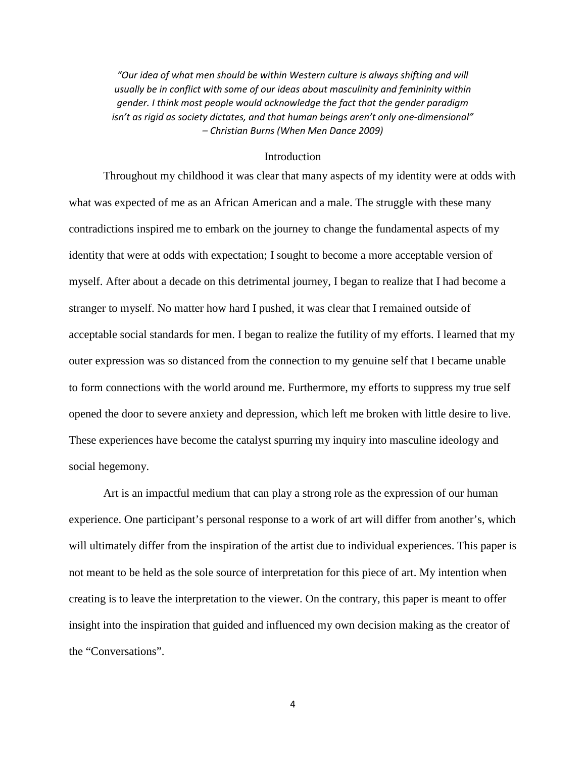*"Our idea of what men should be within Western culture is always shifting and will usually be in conflict with some of our ideas about masculinity and femininity within gender. I think most people would acknowledge the fact that the gender paradigm isn't as rigid as society dictates, and that human beings aren't only one-dimensional" – Christian Burns (When Men Dance 2009)*

#### Introduction

Throughout my childhood it was clear that many aspects of my identity were at odds with what was expected of me as an African American and a male. The struggle with these many contradictions inspired me to embark on the journey to change the fundamental aspects of my identity that were at odds with expectation; I sought to become a more acceptable version of myself. After about a decade on this detrimental journey, I began to realize that I had become a stranger to myself. No matter how hard I pushed, it was clear that I remained outside of acceptable social standards for men. I began to realize the futility of my efforts. I learned that my outer expression was so distanced from the connection to my genuine self that I became unable to form connections with the world around me. Furthermore, my efforts to suppress my true self opened the door to severe anxiety and depression, which left me broken with little desire to live. These experiences have become the catalyst spurring my inquiry into masculine ideology and social hegemony.

Art is an impactful medium that can play a strong role as the expression of our human experience. One participant's personal response to a work of art will differ from another's, which will ultimately differ from the inspiration of the artist due to individual experiences. This paper is not meant to be held as the sole source of interpretation for this piece of art. My intention when creating is to leave the interpretation to the viewer. On the contrary, this paper is meant to offer insight into the inspiration that guided and influenced my own decision making as the creator of the "Conversations".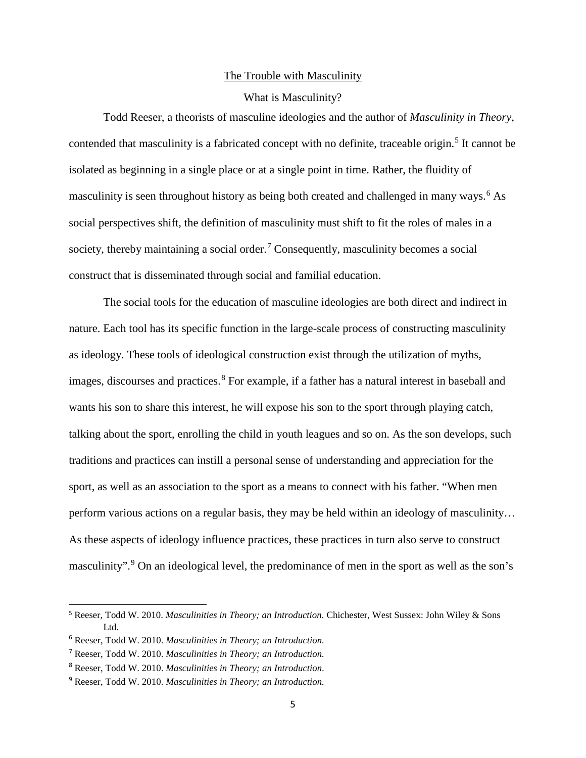#### The Trouble with Masculinity

#### What is Masculinity?

Todd Reeser, a theorists of masculine ideologies and the author of *Masculinity in Theory*, contended that masculinity is a fabricated concept with no definite, traceable origin.<sup>[5](#page-6-0)</sup> It cannot be isolated as beginning in a single place or at a single point in time. Rather, the fluidity of masculinity is seen throughout history as being both created and challenged in many ways. [6](#page-6-1) As social perspectives shift, the definition of masculinity must shift to fit the roles of males in a society, thereby maintaining a social order.<sup>[7](#page-6-2)</sup> Consequently, masculinity becomes a social construct that is disseminated through social and familial education.

The social tools for the education of masculine ideologies are both direct and indirect in nature. Each tool has its specific function in the large-scale process of constructing masculinity as ideology. These tools of ideological construction exist through the utilization of myths, images, discourses and practices. [8](#page-6-3) For example, if a father has a natural interest in baseball and wants his son to share this interest, he will expose his son to the sport through playing catch, talking about the sport, enrolling the child in youth leagues and so on. As the son develops, such traditions and practices can instill a personal sense of understanding and appreciation for the sport, as well as an association to the sport as a means to connect with his father. "When men perform various actions on a regular basis, they may be held within an ideology of masculinity… As these aspects of ideology influence practices, these practices in turn also serve to construct masculinity".<sup>[9](#page-6-4)</sup> On an ideological level, the predominance of men in the sport as well as the son's

<span id="page-6-0"></span><sup>5</sup> Reeser, Todd W. 2010. *Masculinities in Theory; an Introduction.* Chichester, West Sussex: John Wiley & Sons Ltd.

<span id="page-6-1"></span><sup>6</sup> Reeser, Todd W. 2010. *Masculinities in Theory; an Introduction.*

<span id="page-6-2"></span><sup>7</sup> Reeser, Todd W. 2010. *Masculinities in Theory; an Introduction.*

<span id="page-6-3"></span><sup>8</sup> Reeser, Todd W. 2010. *Masculinities in Theory; an Introduction.*

<span id="page-6-4"></span><sup>9</sup> Reeser, Todd W. 2010. *Masculinities in Theory; an Introduction.*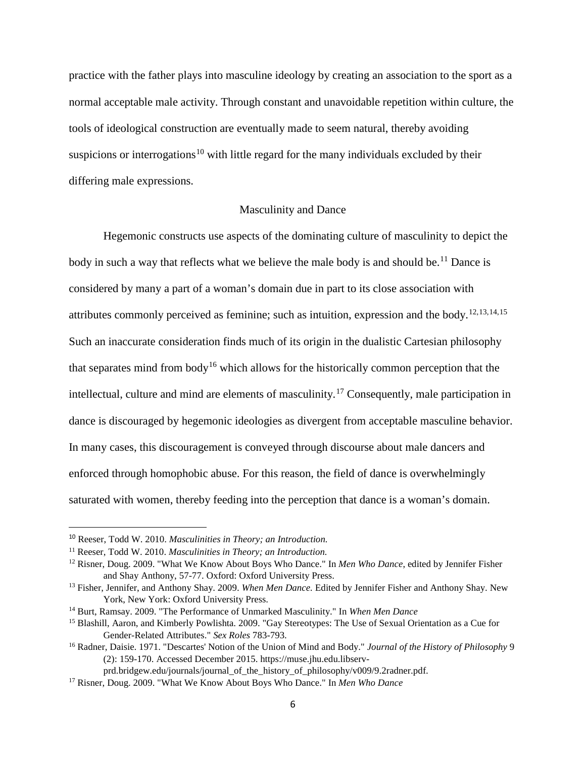practice with the father plays into masculine ideology by creating an association to the sport as a normal acceptable male activity. Through constant and unavoidable repetition within culture, the tools of ideological construction are eventually made to seem natural, thereby avoiding suspicions or interrogations<sup>[10](#page-7-0)</sup> with little regard for the many individuals excluded by their differing male expressions.

#### Masculinity and Dance

Hegemonic constructs use aspects of the dominating culture of masculinity to depict the body in such a way that reflects what we believe the male body is and should be.<sup>[11](#page-7-1)</sup> Dance is considered by many a part of a woman's domain due in part to its close association with attributes commonly perceived as feminine; such as intuition, expression and the body.<sup>[12](#page-7-2),[13,](#page-7-3)[14,](#page-7-4)[15](#page-7-5)</sup> Such an inaccurate consideration finds much of its origin in the dualistic Cartesian philosophy that separates mind from body<sup>[16](#page-7-6)</sup> which allows for the historically common perception that the intellectual, culture and mind are elements of masculinity.[17](#page-7-7) Consequently, male participation in dance is discouraged by hegemonic ideologies as divergent from acceptable masculine behavior. In many cases, this discouragement is conveyed through discourse about male dancers and enforced through homophobic abuse. For this reason, the field of dance is overwhelmingly saturated with women, thereby feeding into the perception that dance is a woman's domain.

<span id="page-7-0"></span> <sup>10</sup> Reeser, Todd W. 2010. *Masculinities in Theory; an Introduction.*

<span id="page-7-1"></span><sup>11</sup> Reeser, Todd W. 2010. *Masculinities in Theory; an Introduction.*

<span id="page-7-2"></span><sup>12</sup> Risner, Doug. 2009. "What We Know About Boys Who Dance." In *Men Who Dance*, edited by Jennifer Fisher and Shay Anthony, 57-77. Oxford: Oxford University Press.

<span id="page-7-3"></span><sup>13</sup> Fisher, Jennifer, and Anthony Shay. 2009. *When Men Dance.* Edited by Jennifer Fisher and Anthony Shay. New York, New York: Oxford University Press.

<span id="page-7-4"></span><sup>14</sup> Burt, Ramsay. 2009. "The Performance of Unmarked Masculinity." In *When Men Dance*

<span id="page-7-5"></span><sup>&</sup>lt;sup>15</sup> Blashill, Aaron, and Kimberly Powlishta. 2009. "Gay Stereotypes: The Use of Sexual Orientation as a Cue for Gender-Related Attributes." *Sex Roles* 783-793.

<span id="page-7-6"></span><sup>16</sup> Radner, Daisie. 1971. "Descartes' Notion of the Union of Mind and Body." *Journal of the History of Philosophy* 9 (2): 159-170. Accessed December 2015. https://muse.jhu.edu.libserv-

prd.bridgew.edu/journals/journal\_of\_the\_history\_of\_philosophy/v009/9.2radner.pdf.

<span id="page-7-7"></span><sup>17</sup> Risner, Doug. 2009. "What We Know About Boys Who Dance." In *Men Who Dance*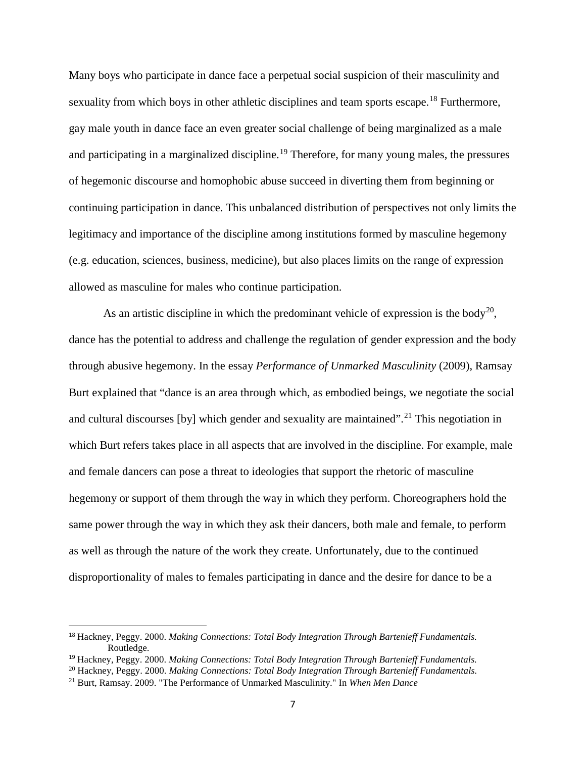Many boys who participate in dance face a perpetual social suspicion of their masculinity and sexuality from which boys in other athletic disciplines and team sports escape.<sup>[18](#page-8-0)</sup> Furthermore, gay male youth in dance face an even greater social challenge of being marginalized as a male and participating in a marginalized discipline.<sup>[19](#page-8-1)</sup> Therefore, for many young males, the pressures of hegemonic discourse and homophobic abuse succeed in diverting them from beginning or continuing participation in dance. This unbalanced distribution of perspectives not only limits the legitimacy and importance of the discipline among institutions formed by masculine hegemony (e.g. education, sciences, business, medicine), but also places limits on the range of expression allowed as masculine for males who continue participation.

As an artistic discipline in which the predominant vehicle of expression is the body<sup>[20](#page-8-2)</sup>, dance has the potential to address and challenge the regulation of gender expression and the body through abusive hegemony. In the essay *Performance of Unmarked Masculinity* (2009), Ramsay Burt explained that "dance is an area through which, as embodied beings, we negotiate the social and cultural discourses [by] which gender and sexuality are maintained".<sup>[21](#page-8-3)</sup> This negotiation in which Burt refers takes place in all aspects that are involved in the discipline. For example, male and female dancers can pose a threat to ideologies that support the rhetoric of masculine hegemony or support of them through the way in which they perform. Choreographers hold the same power through the way in which they ask their dancers, both male and female, to perform as well as through the nature of the work they create. Unfortunately, due to the continued disproportionality of males to females participating in dance and the desire for dance to be a

<span id="page-8-0"></span> <sup>18</sup> Hackney, Peggy. 2000. *Making Connections: Total Body Integration Through Bartenieff Fundamentals.* Routledge.

<span id="page-8-1"></span><sup>19</sup> Hackney, Peggy. 2000. *Making Connections: Total Body Integration Through Bartenieff Fundamentals.*

<span id="page-8-2"></span><sup>20</sup> Hackney, Peggy. 2000. *Making Connections: Total Body Integration Through Bartenieff Fundamentals.*

<span id="page-8-3"></span><sup>21</sup> Burt, Ramsay. 2009. "The Performance of Unmarked Masculinity." In *When Men Dance*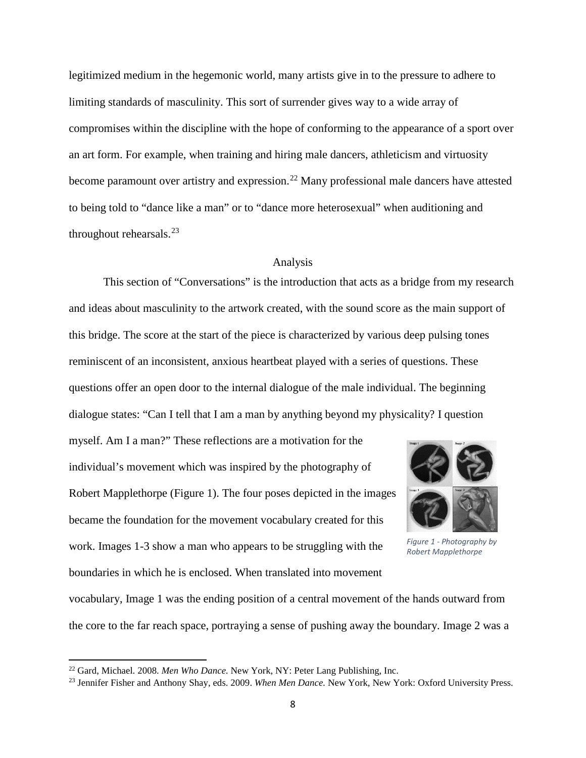legitimized medium in the hegemonic world, many artists give in to the pressure to adhere to limiting standards of masculinity. This sort of surrender gives way to a wide array of compromises within the discipline with the hope of conforming to the appearance of a sport over an art form. For example, when training and hiring male dancers, athleticism and virtuosity become paramount over artistry and expression.<sup>[22](#page-9-0)</sup> Many professional male dancers have attested to being told to "dance like a man" or to "dance more heterosexual" when auditioning and throughout rehearsals. $^{23}$  $^{23}$  $^{23}$ 

#### Analysis

This section of "Conversations" is the introduction that acts as a bridge from my research and ideas about masculinity to the artwork created, with the sound score as the main support of this bridge. The score at the start of the piece is characterized by various deep pulsing tones reminiscent of an inconsistent, anxious heartbeat played with a series of questions. These questions offer an open door to the internal dialogue of the male individual. The beginning dialogue states: "Can I tell that I am a man by anything beyond my physicality? I question

myself. Am I a man?" These reflections are a motivation for the individual's movement which was inspired by the photography of Robert Mapplethorpe (Figure 1). The four poses depicted in the images became the foundation for the movement vocabulary created for this work. Images 1-3 show a man who appears to be struggling with the boundaries in which he is enclosed. When translated into movement



*Figure 1 - Photography by Robert Mapplethorpe*

vocabulary, Image 1 was the ending position of a central movement of the hands outward from the core to the far reach space, portraying a sense of pushing away the boundary. Image 2 was a

<span id="page-9-0"></span><sup>22</sup> Gard, Michael. 2008. *Men Who Dance.* New York, NY: Peter Lang Publishing, Inc.

<span id="page-9-1"></span><sup>23</sup> Jennifer Fisher and Anthony Shay, eds. 2009. *When Men Dance.* New York, New York: Oxford University Press.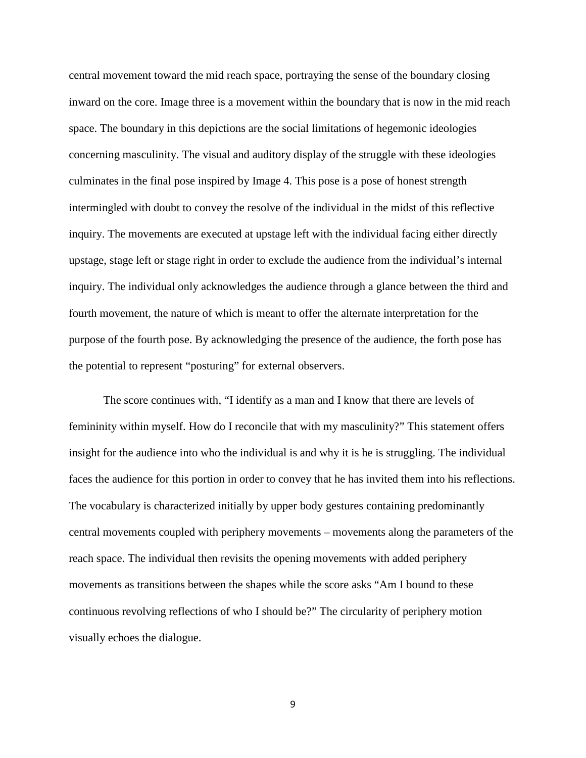central movement toward the mid reach space, portraying the sense of the boundary closing inward on the core. Image three is a movement within the boundary that is now in the mid reach space. The boundary in this depictions are the social limitations of hegemonic ideologies concerning masculinity. The visual and auditory display of the struggle with these ideologies culminates in the final pose inspired by Image 4. This pose is a pose of honest strength intermingled with doubt to convey the resolve of the individual in the midst of this reflective inquiry. The movements are executed at upstage left with the individual facing either directly upstage, stage left or stage right in order to exclude the audience from the individual's internal inquiry. The individual only acknowledges the audience through a glance between the third and fourth movement, the nature of which is meant to offer the alternate interpretation for the purpose of the fourth pose. By acknowledging the presence of the audience, the forth pose has the potential to represent "posturing" for external observers.

The score continues with, "I identify as a man and I know that there are levels of femininity within myself. How do I reconcile that with my masculinity?" This statement offers insight for the audience into who the individual is and why it is he is struggling. The individual faces the audience for this portion in order to convey that he has invited them into his reflections. The vocabulary is characterized initially by upper body gestures containing predominantly central movements coupled with periphery movements – movements along the parameters of the reach space. The individual then revisits the opening movements with added periphery movements as transitions between the shapes while the score asks "Am I bound to these continuous revolving reflections of who I should be?" The circularity of periphery motion visually echoes the dialogue.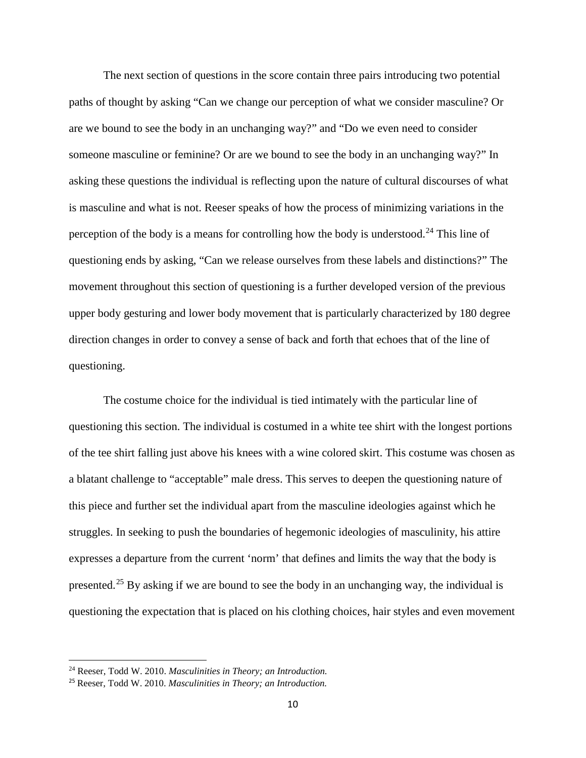The next section of questions in the score contain three pairs introducing two potential paths of thought by asking "Can we change our perception of what we consider masculine? Or are we bound to see the body in an unchanging way?" and "Do we even need to consider someone masculine or feminine? Or are we bound to see the body in an unchanging way?" In asking these questions the individual is reflecting upon the nature of cultural discourses of what is masculine and what is not. Reeser speaks of how the process of minimizing variations in the perception of the body is a means for controlling how the body is understood.<sup>[24](#page-11-0)</sup> This line of questioning ends by asking, "Can we release ourselves from these labels and distinctions?" The movement throughout this section of questioning is a further developed version of the previous upper body gesturing and lower body movement that is particularly characterized by 180 degree direction changes in order to convey a sense of back and forth that echoes that of the line of questioning.

The costume choice for the individual is tied intimately with the particular line of questioning this section. The individual is costumed in a white tee shirt with the longest portions of the tee shirt falling just above his knees with a wine colored skirt. This costume was chosen as a blatant challenge to "acceptable" male dress. This serves to deepen the questioning nature of this piece and further set the individual apart from the masculine ideologies against which he struggles. In seeking to push the boundaries of hegemonic ideologies of masculinity, his attire expresses a departure from the current 'norm' that defines and limits the way that the body is presented.<sup>[25](#page-11-1)</sup> By asking if we are bound to see the body in an unchanging way, the individual is questioning the expectation that is placed on his clothing choices, hair styles and even movement

l

<span id="page-11-0"></span><sup>24</sup> Reeser, Todd W. 2010. *Masculinities in Theory; an Introduction.*

<span id="page-11-1"></span><sup>25</sup> Reeser, Todd W. 2010. *Masculinities in Theory; an Introduction.*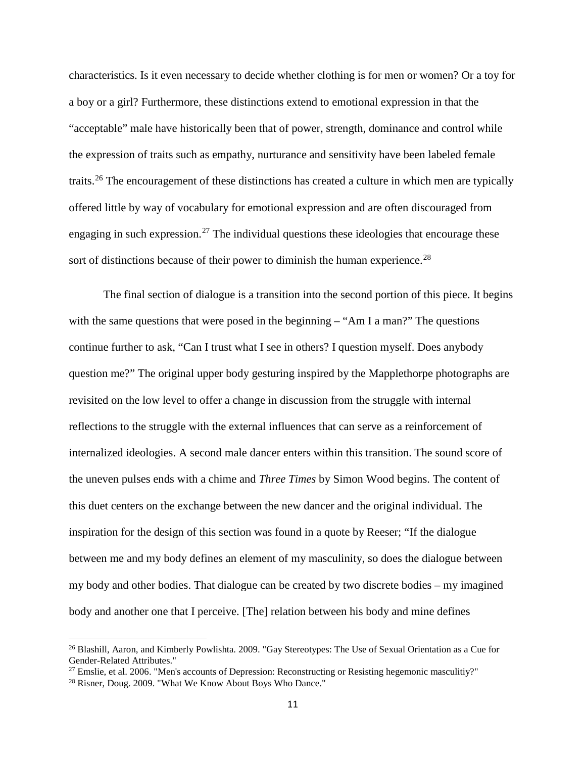characteristics. Is it even necessary to decide whether clothing is for men or women? Or a toy for a boy or a girl? Furthermore, these distinctions extend to emotional expression in that the "acceptable" male have historically been that of power, strength, dominance and control while the expression of traits such as empathy, nurturance and sensitivity have been labeled female traits.[26](#page-12-0) The encouragement of these distinctions has created a culture in which men are typically offered little by way of vocabulary for emotional expression and are often discouraged from engaging in such expression.<sup>[27](#page-12-1)</sup> The individual questions these ideologies that encourage these sort of distinctions because of their power to diminish the human experience.<sup>[28](#page-12-2)</sup>

The final section of dialogue is a transition into the second portion of this piece. It begins with the same questions that were posed in the beginning – "Am I a man?" The questions continue further to ask, "Can I trust what I see in others? I question myself. Does anybody question me?" The original upper body gesturing inspired by the Mapplethorpe photographs are revisited on the low level to offer a change in discussion from the struggle with internal reflections to the struggle with the external influences that can serve as a reinforcement of internalized ideologies. A second male dancer enters within this transition. The sound score of the uneven pulses ends with a chime and *Three Times* by Simon Wood begins. The content of this duet centers on the exchange between the new dancer and the original individual. The inspiration for the design of this section was found in a quote by Reeser; "If the dialogue between me and my body defines an element of my masculinity, so does the dialogue between my body and other bodies. That dialogue can be created by two discrete bodies – my imagined body and another one that I perceive. [The] relation between his body and mine defines

<span id="page-12-0"></span><sup>26</sup> Blashill, Aaron, and Kimberly Powlishta. 2009. "Gay Stereotypes: The Use of Sexual Orientation as a Cue for Gender-Related Attributes."

<span id="page-12-1"></span> $27$  Emslie, et al. 2006. "Men's accounts of Depression: Reconstructing or Resisting hegemonic masculitiy?"

<span id="page-12-2"></span><sup>28</sup> Risner, Doug. 2009. "What We Know About Boys Who Dance."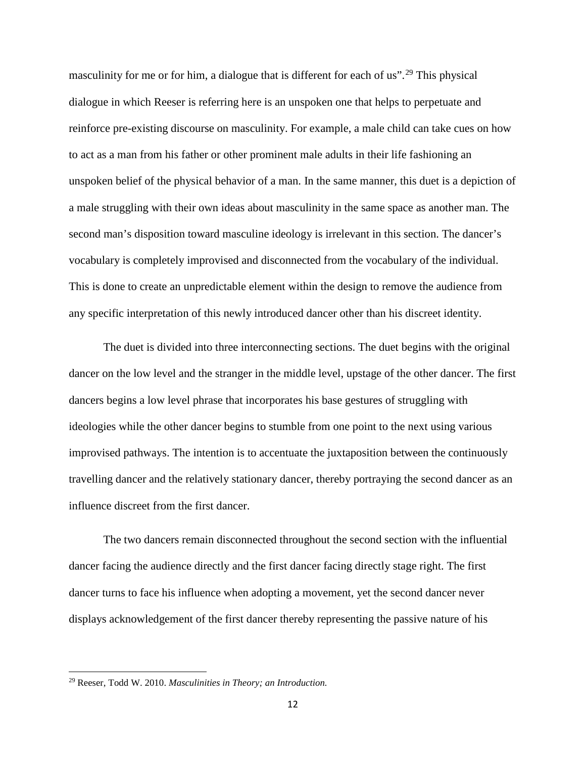masculinity for me or for him, a dialogue that is different for each of us".<sup>[29](#page-13-0)</sup> This physical dialogue in which Reeser is referring here is an unspoken one that helps to perpetuate and reinforce pre-existing discourse on masculinity. For example, a male child can take cues on how to act as a man from his father or other prominent male adults in their life fashioning an unspoken belief of the physical behavior of a man. In the same manner, this duet is a depiction of a male struggling with their own ideas about masculinity in the same space as another man. The second man's disposition toward masculine ideology is irrelevant in this section. The dancer's vocabulary is completely improvised and disconnected from the vocabulary of the individual. This is done to create an unpredictable element within the design to remove the audience from any specific interpretation of this newly introduced dancer other than his discreet identity.

The duet is divided into three interconnecting sections. The duet begins with the original dancer on the low level and the stranger in the middle level, upstage of the other dancer. The first dancers begins a low level phrase that incorporates his base gestures of struggling with ideologies while the other dancer begins to stumble from one point to the next using various improvised pathways. The intention is to accentuate the juxtaposition between the continuously travelling dancer and the relatively stationary dancer, thereby portraying the second dancer as an influence discreet from the first dancer.

The two dancers remain disconnected throughout the second section with the influential dancer facing the audience directly and the first dancer facing directly stage right. The first dancer turns to face his influence when adopting a movement, yet the second dancer never displays acknowledgement of the first dancer thereby representing the passive nature of his

<span id="page-13-0"></span><sup>29</sup> Reeser, Todd W. 2010. *Masculinities in Theory; an Introduction.*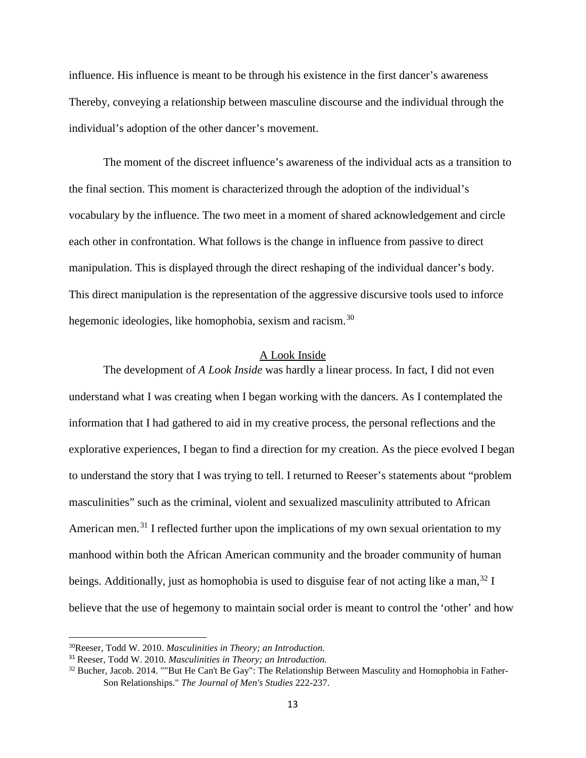influence. His influence is meant to be through his existence in the first dancer's awareness Thereby, conveying a relationship between masculine discourse and the individual through the individual's adoption of the other dancer's movement.

The moment of the discreet influence's awareness of the individual acts as a transition to the final section. This moment is characterized through the adoption of the individual's vocabulary by the influence. The two meet in a moment of shared acknowledgement and circle each other in confrontation. What follows is the change in influence from passive to direct manipulation. This is displayed through the direct reshaping of the individual dancer's body. This direct manipulation is the representation of the aggressive discursive tools used to inforce hegemonic ideologies, like homophobia, sexism and racism.<sup>[30](#page-14-0)</sup>

#### A Look Inside

The development of *A Look Inside* was hardly a linear process. In fact, I did not even understand what I was creating when I began working with the dancers. As I contemplated the information that I had gathered to aid in my creative process, the personal reflections and the explorative experiences, I began to find a direction for my creation. As the piece evolved I began to understand the story that I was trying to tell. I returned to Reeser's statements about "problem masculinities" such as the criminal, violent and sexualized masculinity attributed to African American men.<sup>[31](#page-14-1)</sup> I reflected further upon the implications of my own sexual orientation to my manhood within both the African American community and the broader community of human beings. Additionally, just as homophobia is used to disguise fear of not acting like a man,  $32$  I believe that the use of hegemony to maintain social order is meant to control the 'other' and how

<span id="page-14-0"></span><sup>30</sup>Reeser, Todd W. 2010. *Masculinities in Theory; an Introduction.*

<span id="page-14-1"></span><sup>31</sup> Reeser, Todd W. 2010. *Masculinities in Theory; an Introduction.*

<span id="page-14-2"></span><sup>&</sup>lt;sup>32</sup> Bucher, Jacob. 2014. ""But He Can't Be Gay": The Relationship Between Masculity and Homophobia in Father-Son Relationships." *The Journal of Men's Studies* 222-237.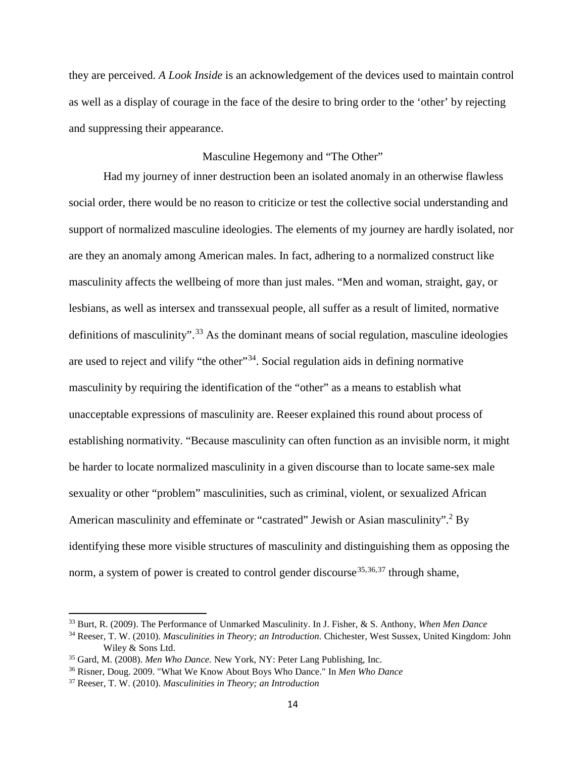they are perceived. *A Look Inside* is an acknowledgement of the devices used to maintain control as well as a display of courage in the face of the desire to bring order to the 'other' by rejecting and suppressing their appearance.

#### Masculine Hegemony and "The Other"

Had my journey of inner destruction been an isolated anomaly in an otherwise flawless social order, there would be no reason to criticize or test the collective social understanding and support of normalized masculine ideologies. The elements of my journey are hardly isolated, nor are they an anomaly among American males. In fact, adhering to a normalized construct like masculinity affects the wellbeing of more than just males. "Men and woman, straight, gay, or lesbians, as well as intersex and transsexual people, all suffer as a result of limited, normative definitions of masculinity".<sup>[33](#page-15-0)</sup> As the dominant means of social regulation, masculine ideologies are used to reject and vilify "the other"<sup>34</sup>. Social regulation aids in defining normative masculinity by requiring the identification of the "other" as a means to establish what unacceptable expressions of masculinity are. Reeser explained this round about process of establishing normativity. "Because masculinity can often function as an invisible norm, it might be harder to locate normalized masculinity in a given discourse than to locate same-sex male sexuality or other "problem" masculinities, such as criminal, violent, or sexualized African American masculinity and effeminate or "castrated" Jewish or Asian masculinity".<sup>2</sup> By identifying these more visible structures of masculinity and distinguishing them as opposing the norm, a system of power is created to control gender discourse<sup>[35,](#page-15-2)[36](#page-15-3),[37](#page-15-4)</sup> through shame,

<span id="page-15-0"></span><sup>33</sup> Burt, R. (2009). The Performance of Unmarked Masculinity. In J. Fisher, & S. Anthony, *When Men Dance*

<span id="page-15-1"></span><sup>34</sup> Reeser, T. W. (2010). *Masculinities in Theory; an Introduction.* Chichester, West Sussex, United Kingdom: John Wiley & Sons Ltd.

<span id="page-15-2"></span><sup>35</sup> Gard, M. (2008). *Men Who Dance.* New York, NY: Peter Lang Publishing, Inc.

<span id="page-15-3"></span><sup>36</sup> Risner, Doug. 2009. "What We Know About Boys Who Dance." In *Men Who Dance*

<span id="page-15-4"></span><sup>37</sup> Reeser, T. W. (2010). *Masculinities in Theory; an Introduction*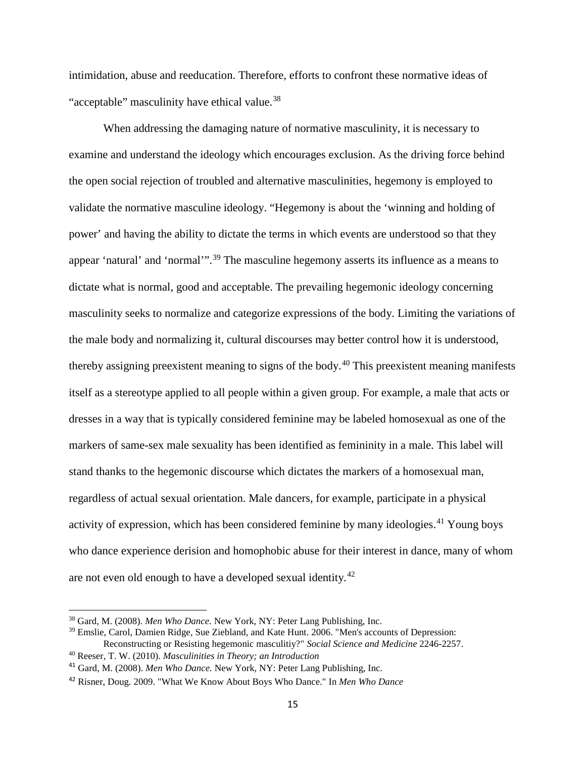intimidation, abuse and reeducation. Therefore, efforts to confront these normative ideas of "acceptable" masculinity have ethical value.<sup>[38](#page-16-0)</sup>

When addressing the damaging nature of normative masculinity, it is necessary to examine and understand the ideology which encourages exclusion. As the driving force behind the open social rejection of troubled and alternative masculinities, hegemony is employed to validate the normative masculine ideology. "Hegemony is about the 'winning and holding of power' and having the ability to dictate the terms in which events are understood so that they appear 'natural' and 'normal'".[39](#page-16-1) The masculine hegemony asserts its influence as a means to dictate what is normal, good and acceptable. The prevailing hegemonic ideology concerning masculinity seeks to normalize and categorize expressions of the body. Limiting the variations of the male body and normalizing it, cultural discourses may better control how it is understood, thereby assigning preexistent meaning to signs of the body.[40](#page-16-2) This preexistent meaning manifests itself as a stereotype applied to all people within a given group. For example, a male that acts or dresses in a way that is typically considered feminine may be labeled homosexual as one of the markers of same-sex male sexuality has been identified as femininity in a male. This label will stand thanks to the hegemonic discourse which dictates the markers of a homosexual man, regardless of actual sexual orientation. Male dancers, for example, participate in a physical activity of expression, which has been considered feminine by many ideologies.<sup>[41](#page-16-3)</sup> Young boys who dance experience derision and homophobic abuse for their interest in dance, many of whom are not even old enough to have a developed sexual identity.<sup>[42](#page-16-4)</sup>

<span id="page-16-0"></span><sup>38</sup> Gard, M. (2008). *Men Who Dance.* New York, NY: Peter Lang Publishing, Inc.

<span id="page-16-1"></span><sup>&</sup>lt;sup>39</sup> Emslie, Carol, Damien Ridge, Sue Ziebland, and Kate Hunt. 2006. "Men's accounts of Depression: Reconstructing or Resisting hegemonic masculitiy?" *Social Science and Medicine* 2246-2257.

<span id="page-16-2"></span><sup>40</sup> Reeser, T. W. (2010). *Masculinities in Theory; an Introduction*

<span id="page-16-3"></span><sup>41</sup> Gard, M. (2008). *Men Who Dance.* New York, NY: Peter Lang Publishing, Inc.

<span id="page-16-4"></span><sup>42</sup> Risner, Doug. 2009. "What We Know About Boys Who Dance." In *Men Who Dance*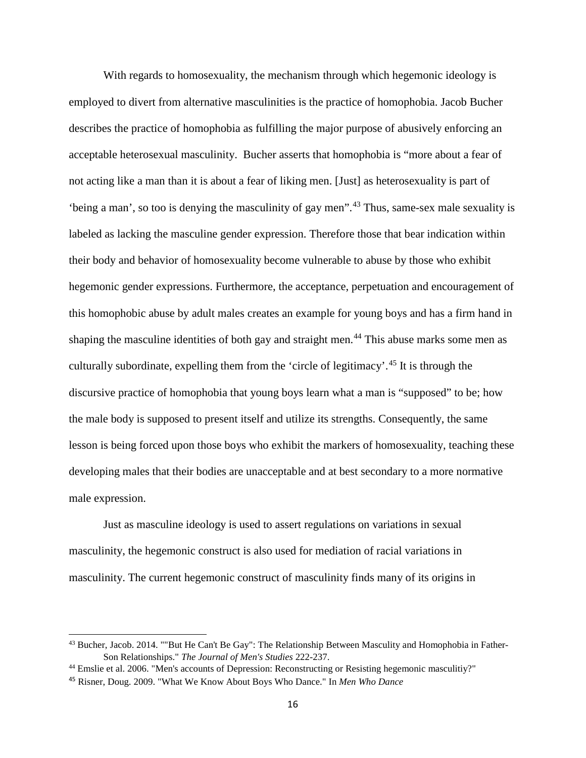With regards to homosexuality, the mechanism through which hegemonic ideology is employed to divert from alternative masculinities is the practice of homophobia. Jacob Bucher describes the practice of homophobia as fulfilling the major purpose of abusively enforcing an acceptable heterosexual masculinity. Bucher asserts that homophobia is "more about a fear of not acting like a man than it is about a fear of liking men. [Just] as heterosexuality is part of 'being a man', so too is denying the masculinity of gay men".[43](#page-17-0) Thus, same-sex male sexuality is labeled as lacking the masculine gender expression. Therefore those that bear indication within their body and behavior of homosexuality become vulnerable to abuse by those who exhibit hegemonic gender expressions. Furthermore, the acceptance, perpetuation and encouragement of this homophobic abuse by adult males creates an example for young boys and has a firm hand in shaping the masculine identities of both gay and straight men.<sup>[44](#page-17-1)</sup> This abuse marks some men as culturally subordinate, expelling them from the 'circle of legitimacy'. [45](#page-17-2) It is through the discursive practice of homophobia that young boys learn what a man is "supposed" to be; how the male body is supposed to present itself and utilize its strengths. Consequently, the same lesson is being forced upon those boys who exhibit the markers of homosexuality, teaching these developing males that their bodies are unacceptable and at best secondary to a more normative male expression.

Just as masculine ideology is used to assert regulations on variations in sexual masculinity, the hegemonic construct is also used for mediation of racial variations in masculinity. The current hegemonic construct of masculinity finds many of its origins in

<span id="page-17-0"></span><sup>43</sup> Bucher, Jacob. 2014. ""But He Can't Be Gay": The Relationship Between Masculity and Homophobia in Father-Son Relationships." *The Journal of Men's Studies* 222-237.

<span id="page-17-1"></span><sup>44</sup> Emslie et al. 2006. "Men's accounts of Depression: Reconstructing or Resisting hegemonic masculitiy?"

<span id="page-17-2"></span><sup>45</sup> Risner, Doug. 2009. "What We Know About Boys Who Dance." In *Men Who Dance*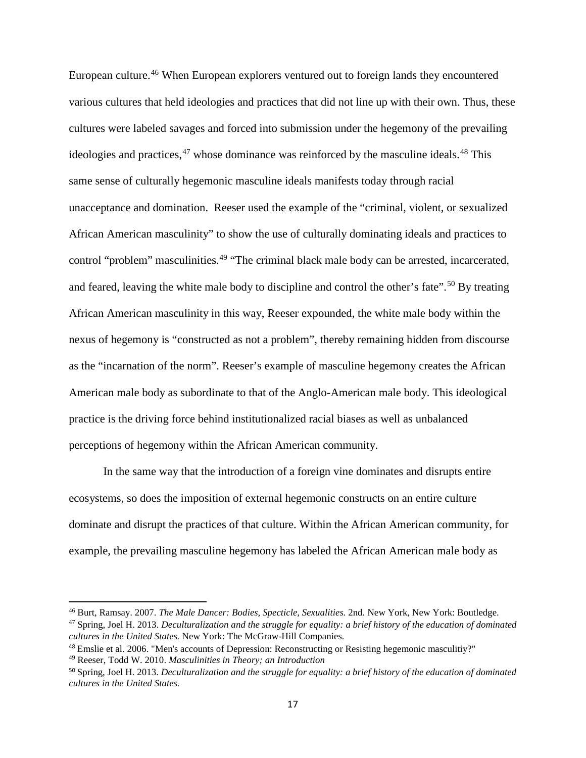European culture.[46](#page-18-0) When European explorers ventured out to foreign lands they encountered various cultures that held ideologies and practices that did not line up with their own. Thus, these cultures were labeled savages and forced into submission under the hegemony of the prevailing ideologies and practices,<sup>[47](#page-18-1)</sup> whose dominance was reinforced by the masculine ideals.<sup>[48](#page-18-2)</sup> This same sense of culturally hegemonic masculine ideals manifests today through racial unacceptance and domination. Reeser used the example of the "criminal, violent, or sexualized African American masculinity" to show the use of culturally dominating ideals and practices to control "problem" masculinities.<sup>[49](#page-18-3)</sup> "The criminal black male body can be arrested, incarcerated, and feared, leaving the white male body to discipline and control the other's fate".<sup>[50](#page-18-4)</sup> By treating African American masculinity in this way, Reeser expounded, the white male body within the nexus of hegemony is "constructed as not a problem", thereby remaining hidden from discourse as the "incarnation of the norm". Reeser's example of masculine hegemony creates the African American male body as subordinate to that of the Anglo-American male body. This ideological practice is the driving force behind institutionalized racial biases as well as unbalanced perceptions of hegemony within the African American community.

In the same way that the introduction of a foreign vine dominates and disrupts entire ecosystems, so does the imposition of external hegemonic constructs on an entire culture dominate and disrupt the practices of that culture. Within the African American community, for example, the prevailing masculine hegemony has labeled the African American male body as

*cultures in the United States.* New York: The McGraw-Hill Companies.

<span id="page-18-1"></span><span id="page-18-0"></span><sup>46</sup> Burt, Ramsay. 2007. *The Male Dancer: Bodies, Specticle, Sexualities.* 2nd. New York, New York: Boutledge. <sup>47</sup> Spring, Joel H. 2013. *Deculturalization and the struggle for equality: a brief history of the education of dominated* 

<span id="page-18-2"></span><sup>48</sup> Emslie et al. 2006. "Men's accounts of Depression: Reconstructing or Resisting hegemonic masculitiy?"

<span id="page-18-3"></span><sup>49</sup> Reeser, Todd W. 2010. *Masculinities in Theory; an Introduction*

<span id="page-18-4"></span><sup>50</sup> Spring, Joel H. 2013. *Deculturalization and the struggle for equality: a brief history of the education of dominated cultures in the United States.*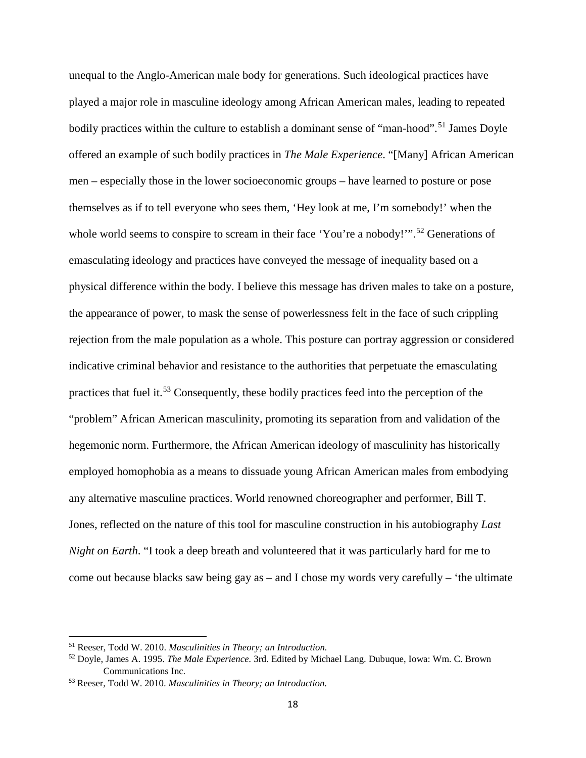unequal to the Anglo-American male body for generations. Such ideological practices have played a major role in masculine ideology among African American males, leading to repeated bodily practices within the culture to establish a dominant sense of "man-hood".<sup>[51](#page-19-0)</sup> James Doyle offered an example of such bodily practices in *The Male Experience*. "[Many] African American men – especially those in the lower socioeconomic groups – have learned to posture or pose themselves as if to tell everyone who sees them, 'Hey look at me, I'm somebody!' when the whole world seems to conspire to scream in their face 'You're a nobody!"".<sup>[52](#page-19-1)</sup> Generations of emasculating ideology and practices have conveyed the message of inequality based on a physical difference within the body. I believe this message has driven males to take on a posture, the appearance of power, to mask the sense of powerlessness felt in the face of such crippling rejection from the male population as a whole. This posture can portray aggression or considered indicative criminal behavior and resistance to the authorities that perpetuate the emasculating practices that fuel it.[53](#page-19-2) Consequently, these bodily practices feed into the perception of the "problem" African American masculinity, promoting its separation from and validation of the hegemonic norm. Furthermore, the African American ideology of masculinity has historically employed homophobia as a means to dissuade young African American males from embodying any alternative masculine practices. World renowned choreographer and performer, Bill T. Jones, reflected on the nature of this tool for masculine construction in his autobiography *Last Night on Earth*. "I took a deep breath and volunteered that it was particularly hard for me to come out because blacks saw being gay as – and I chose my words very carefully – 'the ultimate

<span id="page-19-0"></span><sup>51</sup> Reeser, Todd W. 2010. *Masculinities in Theory; an Introduction.*

<span id="page-19-1"></span><sup>52</sup> Doyle, James A. 1995. *The Male Experience.* 3rd. Edited by Michael Lang. Dubuque, Iowa: Wm. C. Brown Communications Inc.

<span id="page-19-2"></span><sup>53</sup> Reeser, Todd W. 2010. *Masculinities in Theory; an Introduction.*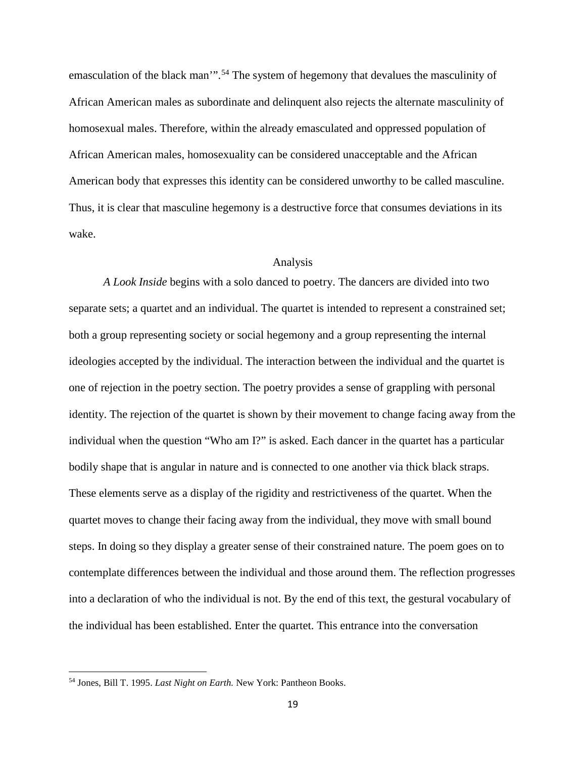emasculation of the black man".<sup>[54](#page-20-0)</sup> The system of hegemony that devalues the masculinity of African American males as subordinate and delinquent also rejects the alternate masculinity of homosexual males. Therefore, within the already emasculated and oppressed population of African American males, homosexuality can be considered unacceptable and the African American body that expresses this identity can be considered unworthy to be called masculine. Thus, it is clear that masculine hegemony is a destructive force that consumes deviations in its wake.

#### Analysis

*A Look Inside* begins with a solo danced to poetry. The dancers are divided into two separate sets; a quartet and an individual. The quartet is intended to represent a constrained set; both a group representing society or social hegemony and a group representing the internal ideologies accepted by the individual. The interaction between the individual and the quartet is one of rejection in the poetry section. The poetry provides a sense of grappling with personal identity. The rejection of the quartet is shown by their movement to change facing away from the individual when the question "Who am I?" is asked. Each dancer in the quartet has a particular bodily shape that is angular in nature and is connected to one another via thick black straps. These elements serve as a display of the rigidity and restrictiveness of the quartet. When the quartet moves to change their facing away from the individual, they move with small bound steps. In doing so they display a greater sense of their constrained nature. The poem goes on to contemplate differences between the individual and those around them. The reflection progresses into a declaration of who the individual is not. By the end of this text, the gestural vocabulary of the individual has been established. Enter the quartet. This entrance into the conversation

<span id="page-20-0"></span><sup>54</sup> Jones, Bill T. 1995. *Last Night on Earth.* New York: Pantheon Books.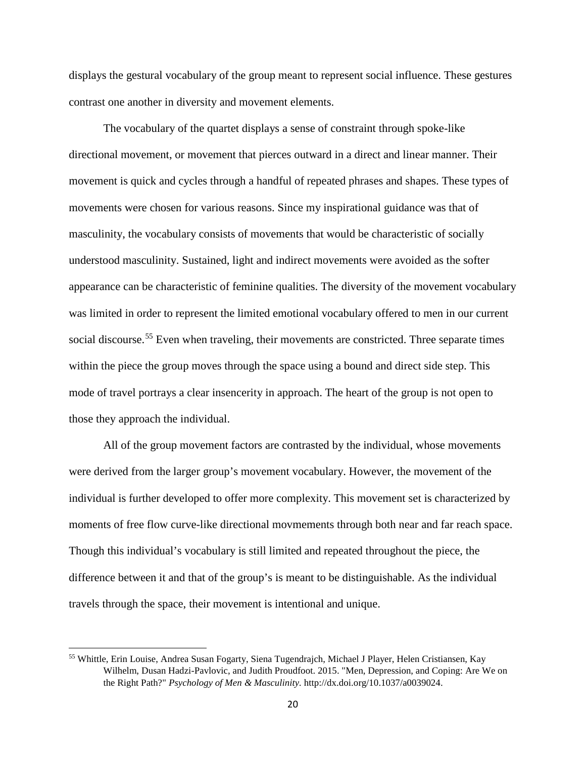displays the gestural vocabulary of the group meant to represent social influence. These gestures contrast one another in diversity and movement elements.

The vocabulary of the quartet displays a sense of constraint through spoke-like directional movement, or movement that pierces outward in a direct and linear manner. Their movement is quick and cycles through a handful of repeated phrases and shapes. These types of movements were chosen for various reasons. Since my inspirational guidance was that of masculinity, the vocabulary consists of movements that would be characteristic of socially understood masculinity. Sustained, light and indirect movements were avoided as the softer appearance can be characteristic of feminine qualities. The diversity of the movement vocabulary was limited in order to represent the limited emotional vocabulary offered to men in our current social discourse.<sup>[55](#page-21-0)</sup> Even when traveling, their movements are constricted. Three separate times within the piece the group moves through the space using a bound and direct side step. This mode of travel portrays a clear insencerity in approach. The heart of the group is not open to those they approach the individual.

All of the group movement factors are contrasted by the individual, whose movements were derived from the larger group's movement vocabulary. However, the movement of the individual is further developed to offer more complexity. This movement set is characterized by moments of free flow curve-like directional movmements through both near and far reach space. Though this individual's vocabulary is still limited and repeated throughout the piece, the difference between it and that of the group's is meant to be distinguishable. As the individual travels through the space, their movement is intentional and unique.

<span id="page-21-0"></span><sup>55</sup> Whittle, Erin Louise, Andrea Susan Fogarty, Siena Tugendrajch, Michael J Player, Helen Cristiansen, Kay Wilhelm, Dusan Hadzi-Pavlovic, and Judith Proudfoot. 2015. "Men, Depression, and Coping: Are We on the Right Path?" *Psychology of Men & Masculinity.* http://dx.doi.org/10.1037/a0039024.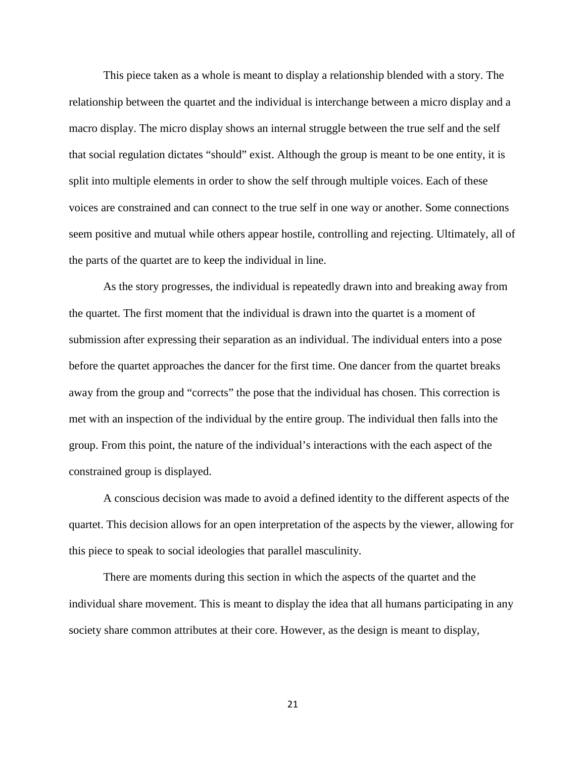This piece taken as a whole is meant to display a relationship blended with a story. The relationship between the quartet and the individual is interchange between a micro display and a macro display. The micro display shows an internal struggle between the true self and the self that social regulation dictates "should" exist. Although the group is meant to be one entity, it is split into multiple elements in order to show the self through multiple voices. Each of these voices are constrained and can connect to the true self in one way or another. Some connections seem positive and mutual while others appear hostile, controlling and rejecting. Ultimately, all of the parts of the quartet are to keep the individual in line.

As the story progresses, the individual is repeatedly drawn into and breaking away from the quartet. The first moment that the individual is drawn into the quartet is a moment of submission after expressing their separation as an individual. The individual enters into a pose before the quartet approaches the dancer for the first time. One dancer from the quartet breaks away from the group and "corrects" the pose that the individual has chosen. This correction is met with an inspection of the individual by the entire group. The individual then falls into the group. From this point, the nature of the individual's interactions with the each aspect of the constrained group is displayed.

A conscious decision was made to avoid a defined identity to the different aspects of the quartet. This decision allows for an open interpretation of the aspects by the viewer, allowing for this piece to speak to social ideologies that parallel masculinity.

There are moments during this section in which the aspects of the quartet and the individual share movement. This is meant to display the idea that all humans participating in any society share common attributes at their core. However, as the design is meant to display,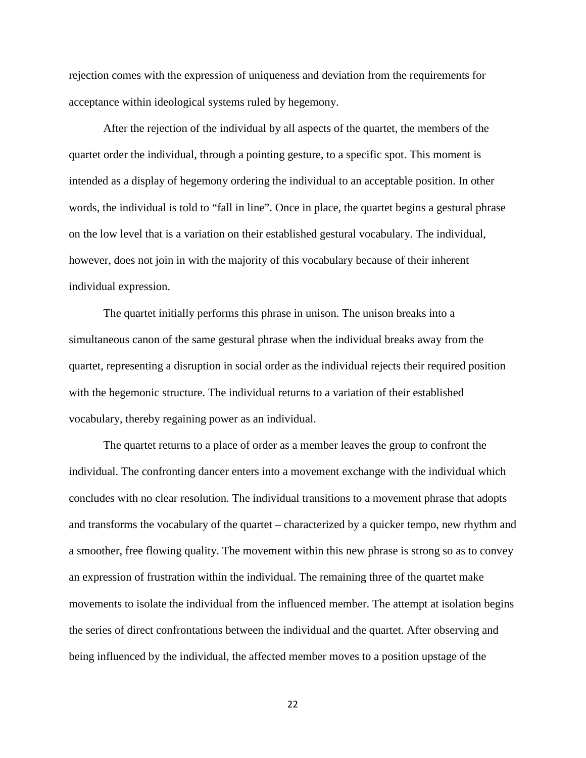rejection comes with the expression of uniqueness and deviation from the requirements for acceptance within ideological systems ruled by hegemony.

After the rejection of the individual by all aspects of the quartet, the members of the quartet order the individual, through a pointing gesture, to a specific spot. This moment is intended as a display of hegemony ordering the individual to an acceptable position. In other words, the individual is told to "fall in line". Once in place, the quartet begins a gestural phrase on the low level that is a variation on their established gestural vocabulary. The individual, however, does not join in with the majority of this vocabulary because of their inherent individual expression.

The quartet initially performs this phrase in unison. The unison breaks into a simultaneous canon of the same gestural phrase when the individual breaks away from the quartet, representing a disruption in social order as the individual rejects their required position with the hegemonic structure. The individual returns to a variation of their established vocabulary, thereby regaining power as an individual.

The quartet returns to a place of order as a member leaves the group to confront the individual. The confronting dancer enters into a movement exchange with the individual which concludes with no clear resolution. The individual transitions to a movement phrase that adopts and transforms the vocabulary of the quartet – characterized by a quicker tempo, new rhythm and a smoother, free flowing quality. The movement within this new phrase is strong so as to convey an expression of frustration within the individual. The remaining three of the quartet make movements to isolate the individual from the influenced member. The attempt at isolation begins the series of direct confrontations between the individual and the quartet. After observing and being influenced by the individual, the affected member moves to a position upstage of the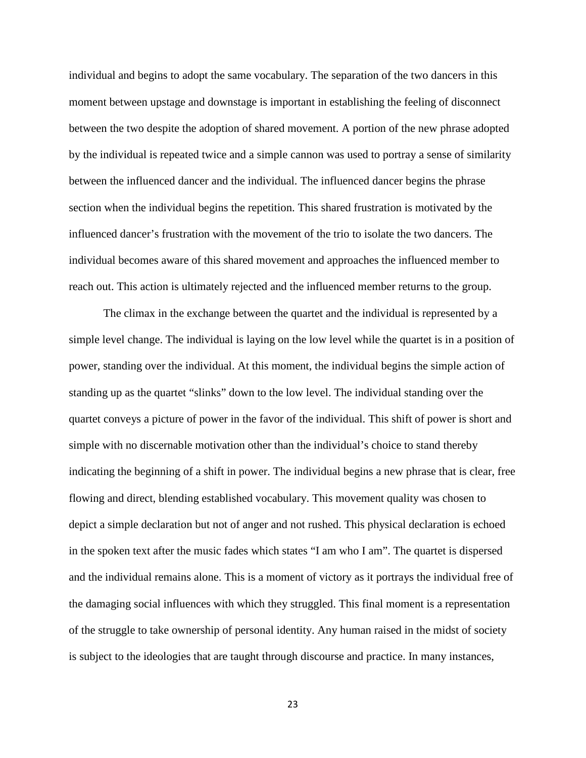individual and begins to adopt the same vocabulary. The separation of the two dancers in this moment between upstage and downstage is important in establishing the feeling of disconnect between the two despite the adoption of shared movement. A portion of the new phrase adopted by the individual is repeated twice and a simple cannon was used to portray a sense of similarity between the influenced dancer and the individual. The influenced dancer begins the phrase section when the individual begins the repetition. This shared frustration is motivated by the influenced dancer's frustration with the movement of the trio to isolate the two dancers. The individual becomes aware of this shared movement and approaches the influenced member to reach out. This action is ultimately rejected and the influenced member returns to the group.

The climax in the exchange between the quartet and the individual is represented by a simple level change. The individual is laying on the low level while the quartet is in a position of power, standing over the individual. At this moment, the individual begins the simple action of standing up as the quartet "slinks" down to the low level. The individual standing over the quartet conveys a picture of power in the favor of the individual. This shift of power is short and simple with no discernable motivation other than the individual's choice to stand thereby indicating the beginning of a shift in power. The individual begins a new phrase that is clear, free flowing and direct, blending established vocabulary. This movement quality was chosen to depict a simple declaration but not of anger and not rushed. This physical declaration is echoed in the spoken text after the music fades which states "I am who I am". The quartet is dispersed and the individual remains alone. This is a moment of victory as it portrays the individual free of the damaging social influences with which they struggled. This final moment is a representation of the struggle to take ownership of personal identity. Any human raised in the midst of society is subject to the ideologies that are taught through discourse and practice. In many instances,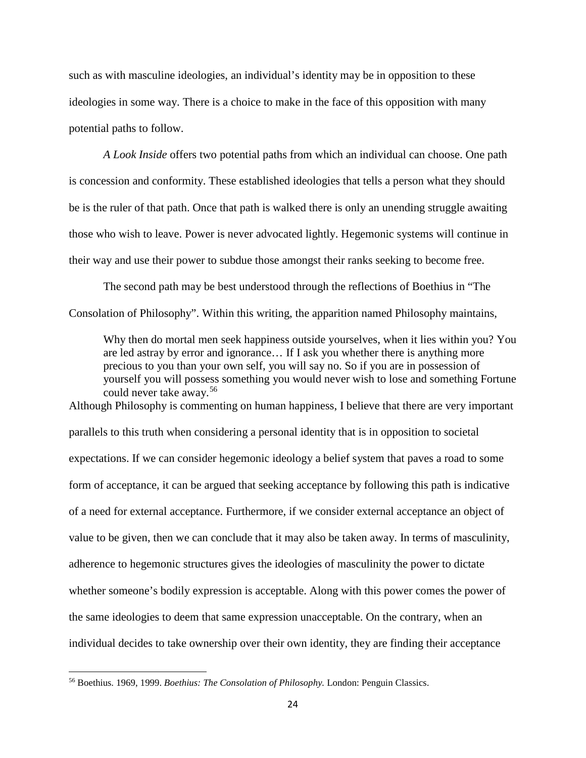such as with masculine ideologies, an individual's identity may be in opposition to these ideologies in some way. There is a choice to make in the face of this opposition with many potential paths to follow.

*A Look Inside* offers two potential paths from which an individual can choose. One path is concession and conformity. These established ideologies that tells a person what they should be is the ruler of that path. Once that path is walked there is only an unending struggle awaiting those who wish to leave. Power is never advocated lightly. Hegemonic systems will continue in their way and use their power to subdue those amongst their ranks seeking to become free.

The second path may be best understood through the reflections of Boethius in "The Consolation of Philosophy". Within this writing, the apparition named Philosophy maintains,

Why then do mortal men seek happiness outside yourselves, when it lies within you? You are led astray by error and ignorance… If I ask you whether there is anything more precious to you than your own self, you will say no. So if you are in possession of yourself you will possess something you would never wish to lose and something Fortune could never take away.[56](#page-25-0)

Although Philosophy is commenting on human happiness, I believe that there are very important parallels to this truth when considering a personal identity that is in opposition to societal expectations. If we can consider hegemonic ideology a belief system that paves a road to some form of acceptance, it can be argued that seeking acceptance by following this path is indicative of a need for external acceptance. Furthermore, if we consider external acceptance an object of value to be given, then we can conclude that it may also be taken away. In terms of masculinity, adherence to hegemonic structures gives the ideologies of masculinity the power to dictate whether someone's bodily expression is acceptable. Along with this power comes the power of the same ideologies to deem that same expression unacceptable. On the contrary, when an individual decides to take ownership over their own identity, they are finding their acceptance

<span id="page-25-0"></span><sup>56</sup> Boethius. 1969, 1999. *Boethius: The Consolation of Philosophy.* London: Penguin Classics.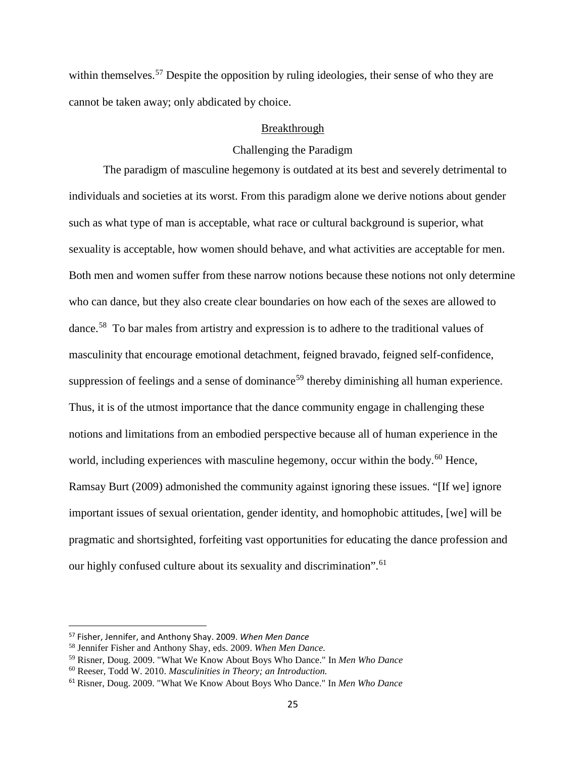within themselves.<sup>[57](#page-26-0)</sup> Despite the opposition by ruling ideologies, their sense of who they are cannot be taken away; only abdicated by choice.

#### Breakthrough

#### Challenging the Paradigm

The paradigm of masculine hegemony is outdated at its best and severely detrimental to individuals and societies at its worst. From this paradigm alone we derive notions about gender such as what type of man is acceptable, what race or cultural background is superior, what sexuality is acceptable, how women should behave, and what activities are acceptable for men. Both men and women suffer from these narrow notions because these notions not only determine who can dance, but they also create clear boundaries on how each of the sexes are allowed to dance.[58](#page-26-1) To bar males from artistry and expression is to adhere to the traditional values of masculinity that encourage emotional detachment, feigned bravado, feigned self-confidence, suppression of feelings and a sense of dominance<sup>[59](#page-26-2)</sup> thereby diminishing all human experience. Thus, it is of the utmost importance that the dance community engage in challenging these notions and limitations from an embodied perspective because all of human experience in the world, including experiences with masculine hegemony, occur within the body.<sup>[60](#page-26-3)</sup> Hence, Ramsay Burt (2009) admonished the community against ignoring these issues. "[If we] ignore important issues of sexual orientation, gender identity, and homophobic attitudes, [we] will be pragmatic and shortsighted, forfeiting vast opportunities for educating the dance profession and our highly confused culture about its sexuality and discrimination".<sup>[61](#page-26-4)</sup>

<span id="page-26-0"></span> <sup>57</sup> Fisher, Jennifer, and Anthony Shay. 2009. *When Men Dance*

<span id="page-26-1"></span><sup>58</sup> Jennifer Fisher and Anthony Shay, eds. 2009. *When Men Dance.*

<span id="page-26-2"></span><sup>59</sup> Risner, Doug. 2009. "What We Know About Boys Who Dance." In *Men Who Dance*

<span id="page-26-3"></span><sup>60</sup> Reeser, Todd W. 2010. *Masculinities in Theory; an Introduction.*

<span id="page-26-4"></span><sup>61</sup> Risner, Doug. 2009. "What We Know About Boys Who Dance." In *Men Who Dance*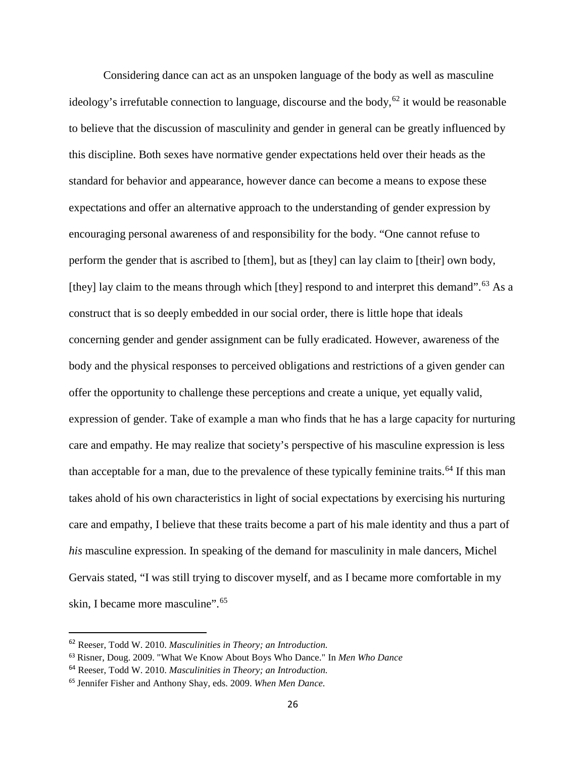Considering dance can act as an unspoken language of the body as well as masculine ideology's irrefutable connection to language, discourse and the body,<sup>[62](#page-27-0)</sup> it would be reasonable to believe that the discussion of masculinity and gender in general can be greatly influenced by this discipline. Both sexes have normative gender expectations held over their heads as the standard for behavior and appearance, however dance can become a means to expose these expectations and offer an alternative approach to the understanding of gender expression by encouraging personal awareness of and responsibility for the body. "One cannot refuse to perform the gender that is ascribed to [them], but as [they] can lay claim to [their] own body, [they] lay claim to the means through which [they] respond to and interpret this demand".<sup>[63](#page-27-1)</sup> As a construct that is so deeply embedded in our social order, there is little hope that ideals concerning gender and gender assignment can be fully eradicated. However, awareness of the body and the physical responses to perceived obligations and restrictions of a given gender can offer the opportunity to challenge these perceptions and create a unique, yet equally valid, expression of gender. Take of example a man who finds that he has a large capacity for nurturing care and empathy. He may realize that society's perspective of his masculine expression is less than acceptable for a man, due to the prevalence of these typically feminine traits.<sup>[64](#page-27-2)</sup> If this man takes ahold of his own characteristics in light of social expectations by exercising his nurturing care and empathy, I believe that these traits become a part of his male identity and thus a part of *his* masculine expression. In speaking of the demand for masculinity in male dancers, Michel Gervais stated, "I was still trying to discover myself, and as I became more comfortable in my skin, I became more masculine".<sup>[65](#page-27-3)</sup>

<span id="page-27-0"></span> <sup>62</sup> Reeser, Todd W. 2010. *Masculinities in Theory; an Introduction.*

<span id="page-27-1"></span><sup>63</sup> Risner, Doug. 2009. "What We Know About Boys Who Dance." In *Men Who Dance*

<span id="page-27-2"></span><sup>64</sup> Reeser, Todd W. 2010. *Masculinities in Theory; an Introduction.*

<span id="page-27-3"></span><sup>65</sup> Jennifer Fisher and Anthony Shay, eds. 2009. *When Men Dance.*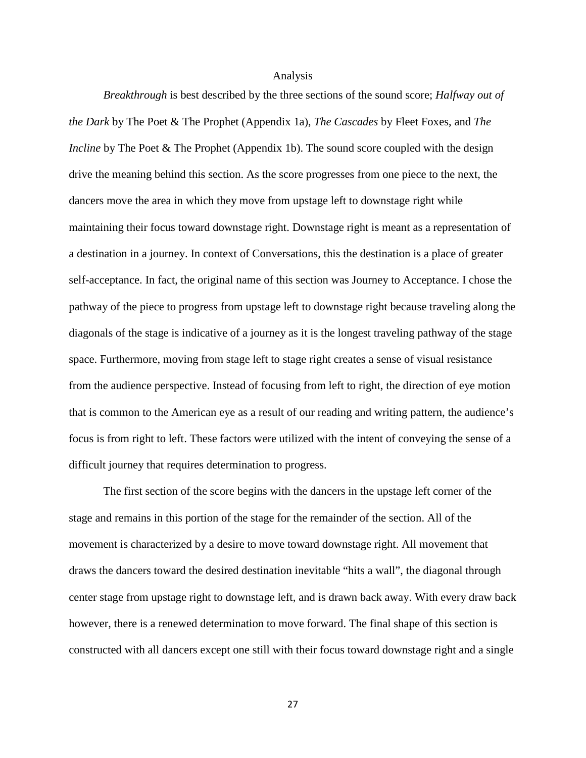#### Analysis

*Breakthrough* is best described by the three sections of the sound score; *Halfway out of the Dark* by The Poet & The Prophet (Appendix 1a), *The Cascades* by Fleet Foxes, and *The Incline* by The Poet & The Prophet (Appendix 1b). The sound score coupled with the design drive the meaning behind this section. As the score progresses from one piece to the next, the dancers move the area in which they move from upstage left to downstage right while maintaining their focus toward downstage right. Downstage right is meant as a representation of a destination in a journey. In context of Conversations, this the destination is a place of greater self-acceptance. In fact, the original name of this section was Journey to Acceptance. I chose the pathway of the piece to progress from upstage left to downstage right because traveling along the diagonals of the stage is indicative of a journey as it is the longest traveling pathway of the stage space. Furthermore, moving from stage left to stage right creates a sense of visual resistance from the audience perspective. Instead of focusing from left to right, the direction of eye motion that is common to the American eye as a result of our reading and writing pattern, the audience's focus is from right to left. These factors were utilized with the intent of conveying the sense of a difficult journey that requires determination to progress.

The first section of the score begins with the dancers in the upstage left corner of the stage and remains in this portion of the stage for the remainder of the section. All of the movement is characterized by a desire to move toward downstage right. All movement that draws the dancers toward the desired destination inevitable "hits a wall", the diagonal through center stage from upstage right to downstage left, and is drawn back away. With every draw back however, there is a renewed determination to move forward. The final shape of this section is constructed with all dancers except one still with their focus toward downstage right and a single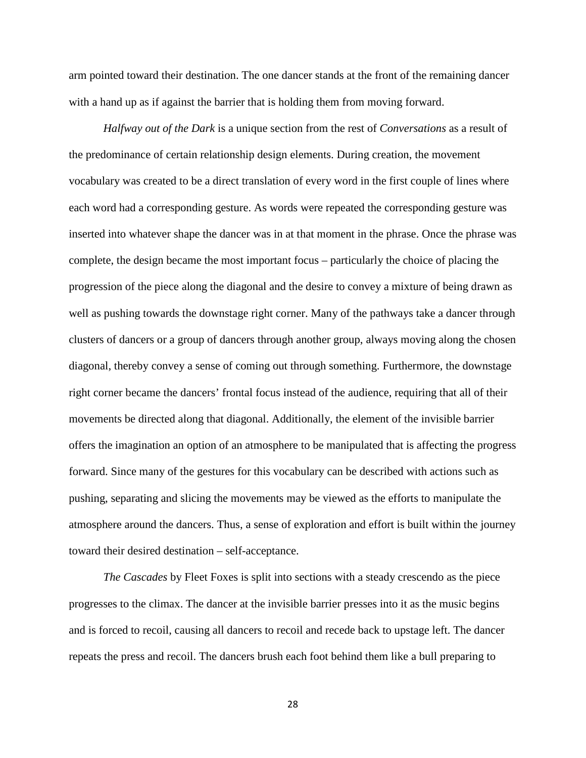arm pointed toward their destination. The one dancer stands at the front of the remaining dancer with a hand up as if against the barrier that is holding them from moving forward.

*Halfway out of the Dark* is a unique section from the rest of *Conversations* as a result of the predominance of certain relationship design elements. During creation, the movement vocabulary was created to be a direct translation of every word in the first couple of lines where each word had a corresponding gesture. As words were repeated the corresponding gesture was inserted into whatever shape the dancer was in at that moment in the phrase. Once the phrase was complete, the design became the most important focus – particularly the choice of placing the progression of the piece along the diagonal and the desire to convey a mixture of being drawn as well as pushing towards the downstage right corner. Many of the pathways take a dancer through clusters of dancers or a group of dancers through another group, always moving along the chosen diagonal, thereby convey a sense of coming out through something. Furthermore, the downstage right corner became the dancers' frontal focus instead of the audience, requiring that all of their movements be directed along that diagonal. Additionally, the element of the invisible barrier offers the imagination an option of an atmosphere to be manipulated that is affecting the progress forward. Since many of the gestures for this vocabulary can be described with actions such as pushing, separating and slicing the movements may be viewed as the efforts to manipulate the atmosphere around the dancers. Thus, a sense of exploration and effort is built within the journey toward their desired destination – self-acceptance.

*The Cascades* by Fleet Foxes is split into sections with a steady crescendo as the piece progresses to the climax. The dancer at the invisible barrier presses into it as the music begins and is forced to recoil, causing all dancers to recoil and recede back to upstage left. The dancer repeats the press and recoil. The dancers brush each foot behind them like a bull preparing to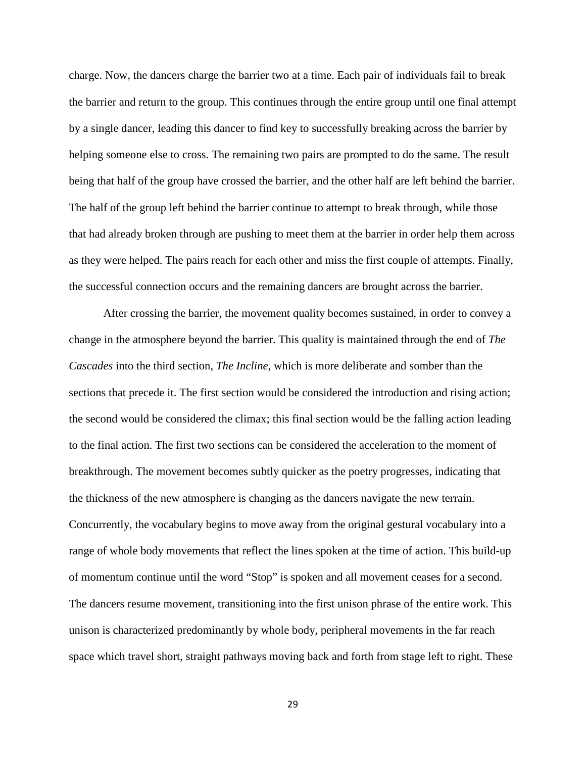charge. Now, the dancers charge the barrier two at a time. Each pair of individuals fail to break the barrier and return to the group. This continues through the entire group until one final attempt by a single dancer, leading this dancer to find key to successfully breaking across the barrier by helping someone else to cross. The remaining two pairs are prompted to do the same. The result being that half of the group have crossed the barrier, and the other half are left behind the barrier. The half of the group left behind the barrier continue to attempt to break through, while those that had already broken through are pushing to meet them at the barrier in order help them across as they were helped. The pairs reach for each other and miss the first couple of attempts. Finally, the successful connection occurs and the remaining dancers are brought across the barrier.

After crossing the barrier, the movement quality becomes sustained, in order to convey a change in the atmosphere beyond the barrier. This quality is maintained through the end of *The Cascades* into the third section, *The Incline*, which is more deliberate and somber than the sections that precede it. The first section would be considered the introduction and rising action; the second would be considered the climax; this final section would be the falling action leading to the final action. The first two sections can be considered the acceleration to the moment of breakthrough. The movement becomes subtly quicker as the poetry progresses, indicating that the thickness of the new atmosphere is changing as the dancers navigate the new terrain. Concurrently, the vocabulary begins to move away from the original gestural vocabulary into a range of whole body movements that reflect the lines spoken at the time of action. This build-up of momentum continue until the word "Stop" is spoken and all movement ceases for a second. The dancers resume movement, transitioning into the first unison phrase of the entire work. This unison is characterized predominantly by whole body, peripheral movements in the far reach space which travel short, straight pathways moving back and forth from stage left to right. These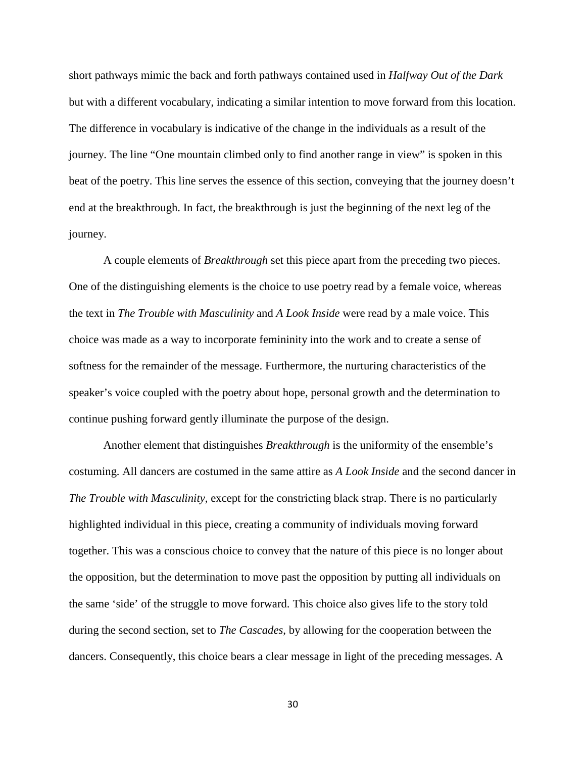short pathways mimic the back and forth pathways contained used in *Halfway Out of the Dark*  but with a different vocabulary, indicating a similar intention to move forward from this location. The difference in vocabulary is indicative of the change in the individuals as a result of the journey. The line "One mountain climbed only to find another range in view" is spoken in this beat of the poetry. This line serves the essence of this section, conveying that the journey doesn't end at the breakthrough. In fact, the breakthrough is just the beginning of the next leg of the journey.

A couple elements of *Breakthrough* set this piece apart from the preceding two pieces. One of the distinguishing elements is the choice to use poetry read by a female voice, whereas the text in *The Trouble with Masculinity* and *A Look Inside* were read by a male voice. This choice was made as a way to incorporate femininity into the work and to create a sense of softness for the remainder of the message. Furthermore, the nurturing characteristics of the speaker's voice coupled with the poetry about hope, personal growth and the determination to continue pushing forward gently illuminate the purpose of the design.

Another element that distinguishes *Breakthrough* is the uniformity of the ensemble's costuming. All dancers are costumed in the same attire as *A Look Inside* and the second dancer in *The Trouble with Masculinity*, except for the constricting black strap. There is no particularly highlighted individual in this piece, creating a community of individuals moving forward together. This was a conscious choice to convey that the nature of this piece is no longer about the opposition, but the determination to move past the opposition by putting all individuals on the same 'side' of the struggle to move forward. This choice also gives life to the story told during the second section, set to *The Cascades*, by allowing for the cooperation between the dancers. Consequently, this choice bears a clear message in light of the preceding messages. A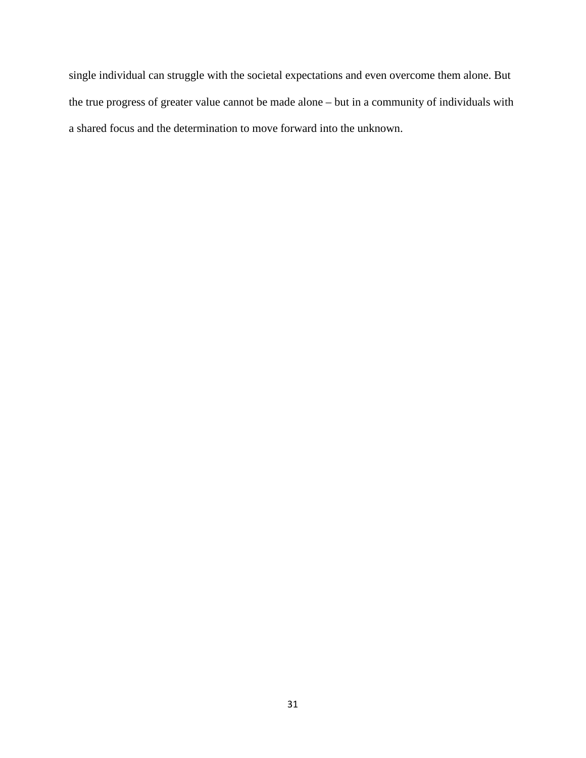single individual can struggle with the societal expectations and even overcome them alone. But the true progress of greater value cannot be made alone – but in a community of individuals with a shared focus and the determination to move forward into the unknown.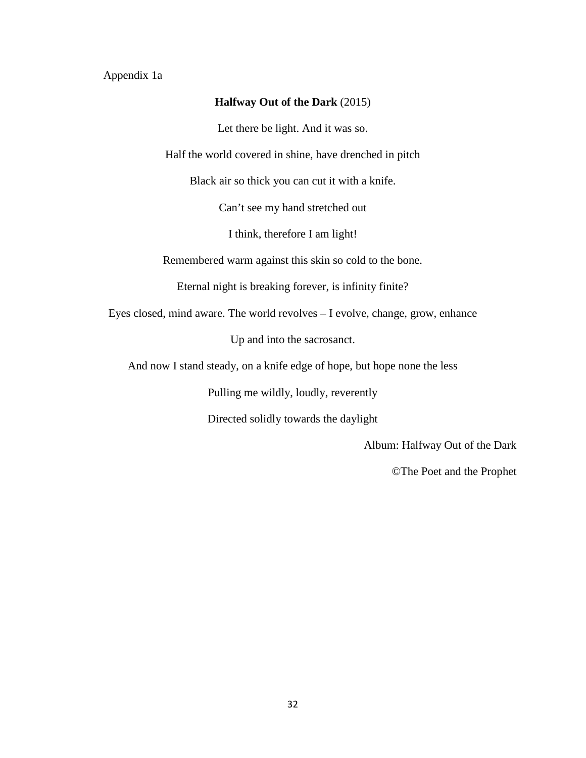#### Appendix 1a

#### **Halfway Out of the Dark** (2015)

Let there be light. And it was so.

Half the world covered in shine, have drenched in pitch

Black air so thick you can cut it with a knife.

Can't see my hand stretched out

I think, therefore I am light!

Remembered warm against this skin so cold to the bone.

Eternal night is breaking forever, is infinity finite?

Eyes closed, mind aware. The world revolves – I evolve, change, grow, enhance

Up and into the sacrosanct.

And now I stand steady, on a knife edge of hope, but hope none the less

Pulling me wildly, loudly, reverently

Directed solidly towards the daylight

Album: Halfway Out of the Dark

©The Poet and the Prophet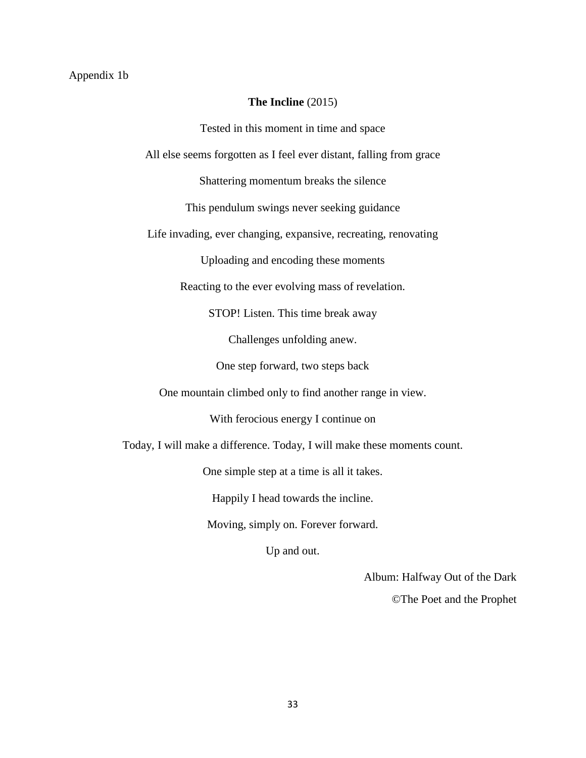#### Appendix 1b

#### **The Incline** (2015)

Tested in this moment in time and space All else seems forgotten as I feel ever distant, falling from grace Shattering momentum breaks the silence This pendulum swings never seeking guidance Life invading, ever changing, expansive, recreating, renovating Uploading and encoding these moments Reacting to the ever evolving mass of revelation. STOP! Listen. This time break away Challenges unfolding anew. One step forward, two steps back One mountain climbed only to find another range in view. With ferocious energy I continue on Today, I will make a difference. Today, I will make these moments count. One simple step at a time is all it takes. Happily I head towards the incline. Moving, simply on. Forever forward. Up and out.

Album: Halfway Out of the Dark

©The Poet and the Prophet